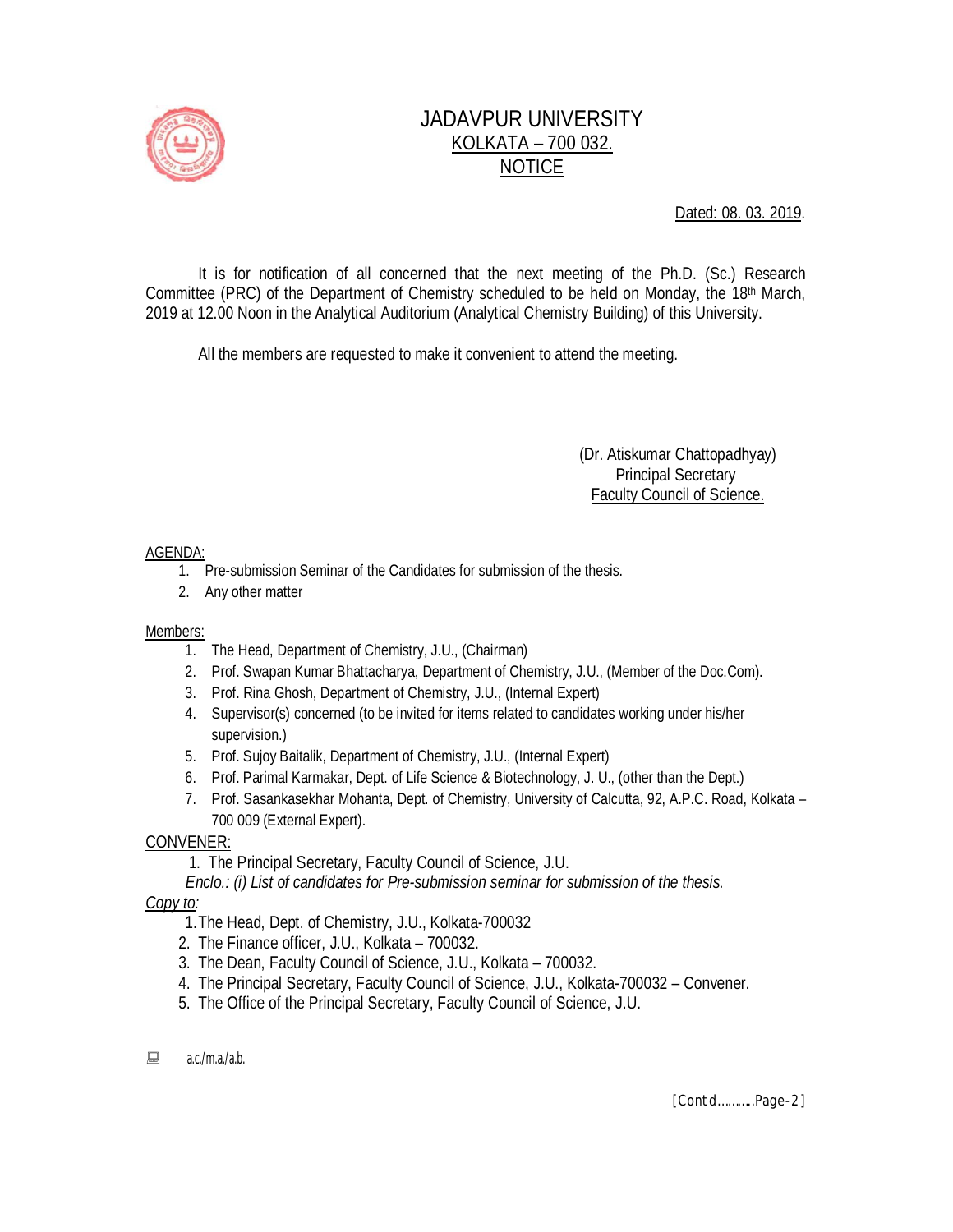

# JADAVPUR UNIVERSITY KOLKATA – 700 032. NOTICE

Dated: 08. 03. 2019.

It is for notification of all concerned that the next meeting of the Ph.D. (Sc.) Research Committee (PRC) of the Department of Chemistry scheduled to be held on Monday, the 18<sup>th</sup> March, 2019 at 12.00 Noon in the Analytical Auditorium (Analytical Chemistry Building) of this University.

All the members are requested to make it convenient to attend the meeting.

 (Dr. Atiskumar Chattopadhyay) Principal Secretary Faculty Council of Science.

### AGENDA:

- 1. Pre-submission Seminar of the Candidates for submission of the thesis.
- 2. Any other matter

#### Members:

- 1. The Head, Department of Chemistry, J.U., (Chairman)
- 2. Prof. Swapan Kumar Bhattacharya, Department of Chemistry, J.U., (Member of the Doc.Com).
- 3. Prof. Rina Ghosh, Department of Chemistry, J.U., (Internal Expert)
- 4. Supervisor(s) concerned (to be invited for items related to candidates working under his/her supervision.)
- 5. Prof. Sujoy Baitalik, Department of Chemistry, J.U., (Internal Expert)
- 6. Prof. Parimal Karmakar, Dept. of Life Science & Biotechnology, J. U., (other than the Dept.)
- 7. Prof. Sasankasekhar Mohanta, Dept. of Chemistry, University of Calcutta, 92, A.P.C. Road, Kolkata 700 009 (External Expert).

### CONVENER:

- 1. The Principal Secretary, Faculty Council of Science, J.U.
- *Enclo.: (i) List of candidates for Pre-submission seminar for submission of the thesis.*

### *Copy to:*

- 1.The Head, Dept. of Chemistry, J.U., Kolkata-700032
- 2. The Finance officer, J.U., Kolkata 700032.
- 3. The Dean, Faculty Council of Science, J.U., Kolkata 700032.
- 4. The Principal Secretary, Faculty Council of Science, J.U., Kolkata-700032 Convener.
- 5. The Office of the Principal Secretary, Faculty Council of Science, J.U.
- $\Box$  a.c./m.a./a.b.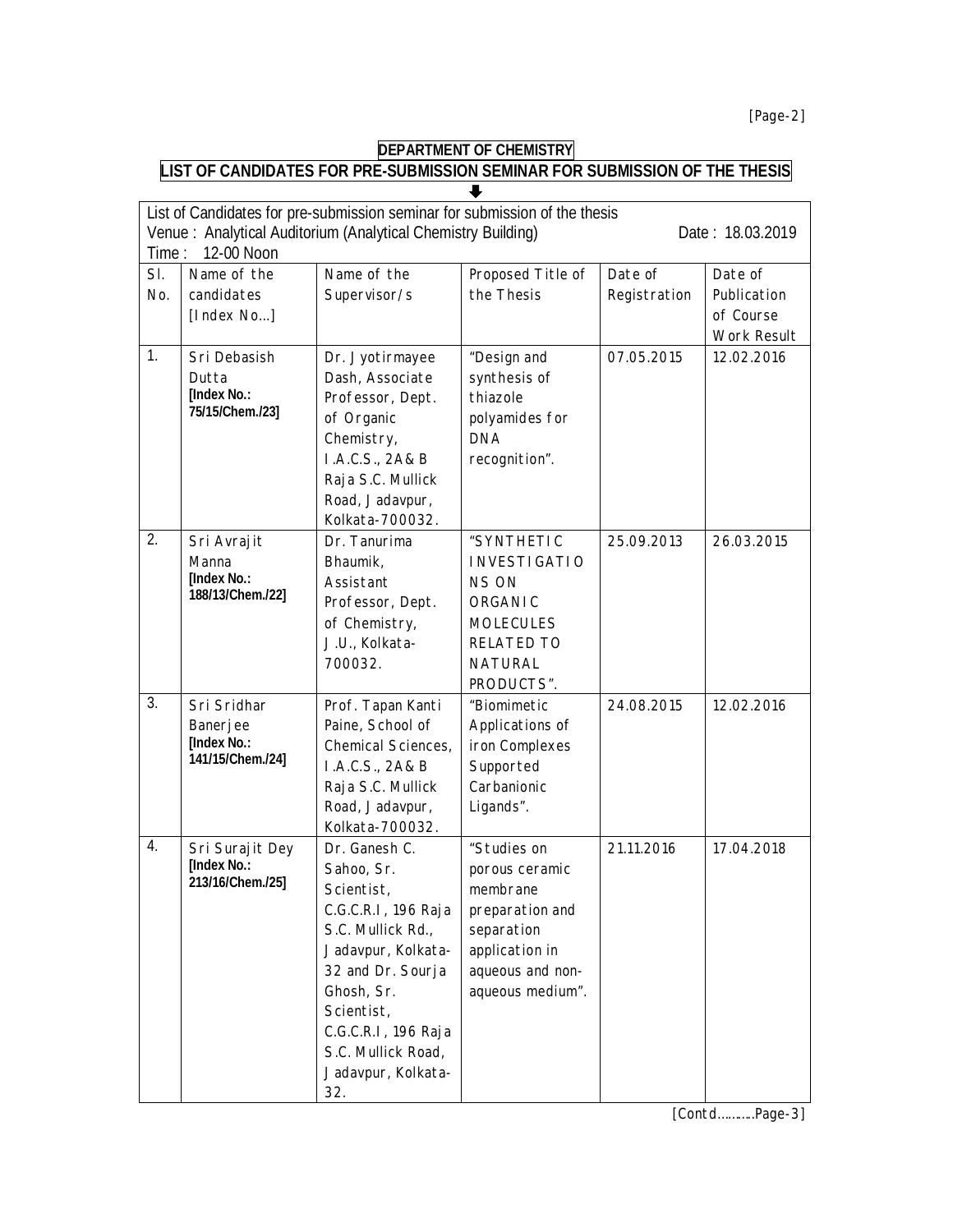*[Page-2]*

## **DEPARTMENT OF CHEMISTRY**

#### **LIST OF CANDIDATES FOR PRE-SUBMISSION SEMINAR FOR SUBMISSION OF THE THESIS**

| List of Candidates for pre-submission seminar for submission of the thesis<br>Venue: Analytical Auditorium (Analytical Chemistry Building)<br>Date: 18.03.2019<br>12-00 Noon<br>Time: |                                                            |                                                                                                                                                                                                                                        |                                                                                                                                       |                         |                                                    |  |  |
|---------------------------------------------------------------------------------------------------------------------------------------------------------------------------------------|------------------------------------------------------------|----------------------------------------------------------------------------------------------------------------------------------------------------------------------------------------------------------------------------------------|---------------------------------------------------------------------------------------------------------------------------------------|-------------------------|----------------------------------------------------|--|--|
| SI.<br>No.                                                                                                                                                                            | Name of the<br>candidates<br>[Index No]                    | Name of the<br>Supervisor/s                                                                                                                                                                                                            | Proposed Title of<br>the Thesis                                                                                                       | Date of<br>Registration | Date of<br>Publication<br>of Course<br>Work Result |  |  |
| 1.                                                                                                                                                                                    | Sri Debasish<br>Dutta<br>[Index No.:<br>75/15/Chem./23]    | Dr. Jyotirmayee<br>Dash, Associate<br>Professor, Dept.<br>of Organic<br>Chemistry,<br>I.A.C.S., 2A& B<br>Raja S.C. Mullick<br>Road, Jadavpur,<br>Kolkata-700032.                                                                       | "Design and<br>synthesis of<br>thiazole<br>polyamides for<br><b>DNA</b><br>recognition".                                              | 07.05.2015              | 12.02.2016                                         |  |  |
| 2.                                                                                                                                                                                    | Sri Avrajit<br>Manna<br>[Index No.:<br>188/13/Chem./22]    | Dr. Tanurima<br>Bhaumik,<br>Assistant<br>Professor, Dept.<br>of Chemistry,<br>J.U., Kolkata-<br>700032.                                                                                                                                | "SYNTHETIC<br><b>INVESTIGATIO</b><br><b>NS ON</b><br><b>ORGANIC</b><br><b>MOLECULES</b><br>RELATED TO<br><b>NATURAL</b><br>PRODUCTS". | 25.09.2013              | 26.03.2015                                         |  |  |
| 3.                                                                                                                                                                                    | Sri Sridhar<br>Banerjee<br>[Index No.:<br>141/15/Chem./24] | Prof. Tapan Kanti<br>Paine, School of<br>Chemical Sciences,<br>I.A.C.S., 2A& B<br>Raja S.C. Mullick<br>Road, Jadavpur,<br>Kolkata-700032.                                                                                              | "Biomimetic<br>Applications of<br>iron Complexes<br>Supported<br>Carbanionic<br>Ligands".                                             | 24.08.2015              | 12.02.2016                                         |  |  |
| 4.                                                                                                                                                                                    | Sri Surajit Dey<br>[Index No.:<br>213/16/Chem./25]         | Dr. Ganesh C.<br>Sahoo, Sr.<br>Scientist,<br>C.G.C.R.I, 196 Raja<br>S.C. Mullick Rd.,<br>Jadavpur, Kolkata-<br>32 and Dr. Sourja<br>Ghosh, Sr.<br>Scientist,<br>C.G.C.R.I, 196 Raja<br>S.C. Mullick Road,<br>Jadavpur, Kolkata-<br>32. | "Studies on<br>porous ceramic<br>membrane<br>preparation and<br>separation<br>application in<br>aqueous and non-<br>aqueous medium".  | 21.11.2016              | 17.04.2018                                         |  |  |

*[Contd………..Page-3]*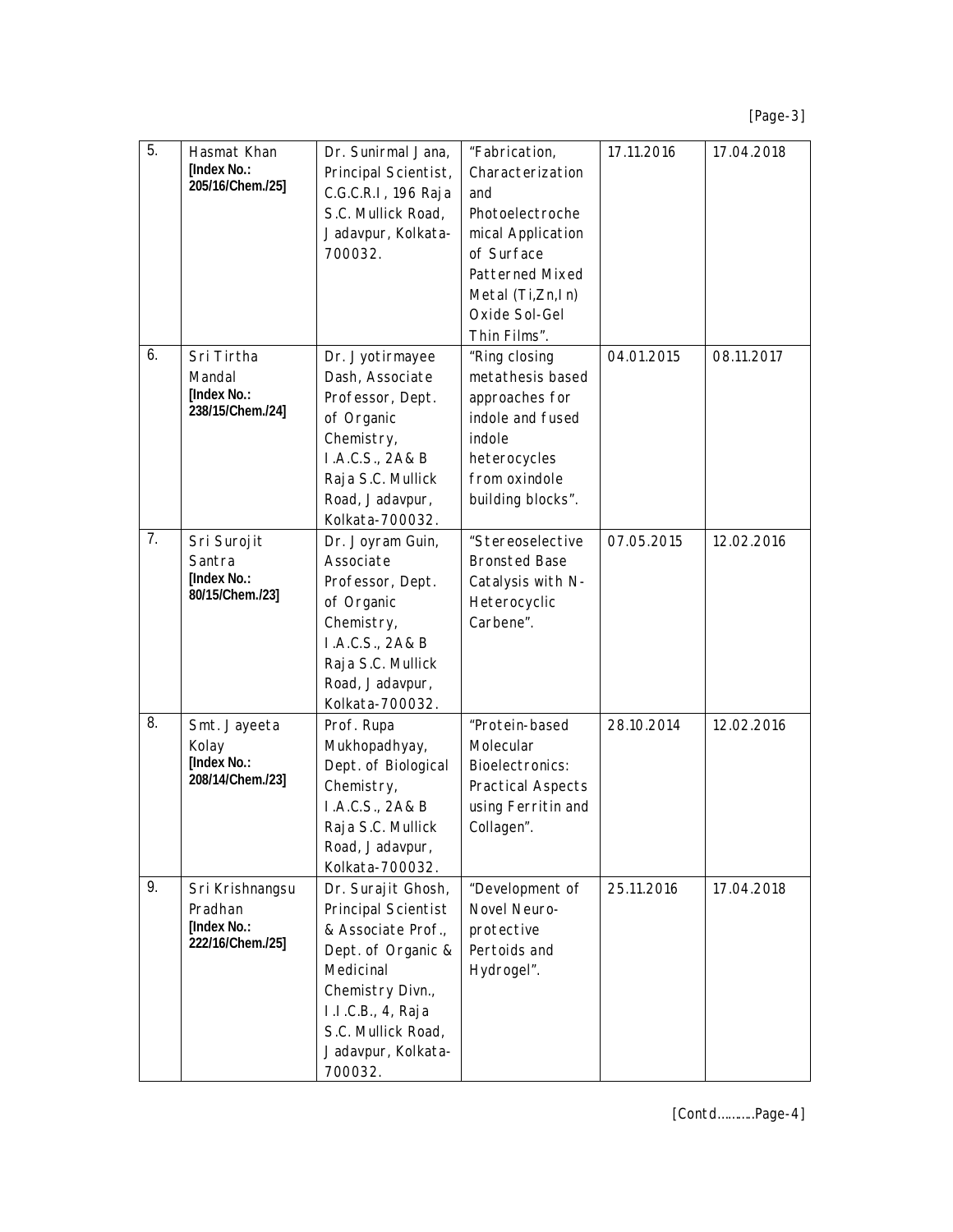*[Page-3]*

| 5. | Hasmat Khan<br>[Index No.:<br>205/16/Chem./25]                 | Dr. Sunirmal Jana,<br>Principal Scientist,<br>C.G.C.R.I, 196 Raja<br>S.C. Mullick Road,<br>Jadavpur, Kolkata-<br>700032.                                                                           | "Fabrication,<br>Characterization<br>and<br>Photoelectroche<br>mical Application<br>of Surface<br>Patterned Mixed<br>Metal (Ti,Zn,In)<br>Oxide Sol-Gel<br>Thin Films". | 17.11.2016 | 17.04.2018 |
|----|----------------------------------------------------------------|----------------------------------------------------------------------------------------------------------------------------------------------------------------------------------------------------|------------------------------------------------------------------------------------------------------------------------------------------------------------------------|------------|------------|
| 6. | Sri Tirtha<br>Mandal<br>[Index No.:<br>238/15/Chem./24]        | Dr. Jyotirmayee<br>Dash, Associate<br>Professor, Dept.<br>of Organic<br>Chemistry,<br>I.A.C.S., 2A& B<br>Raja S.C. Mullick<br>Road, Jadavpur,<br>Kolkata-700032.                                   | "Ring closing<br>metathesis based<br>approaches for<br>indole and fused<br>indole<br>heterocycles<br>from oxindole<br>building blocks".                                | 04.01.2015 | 08.11.2017 |
| 7. | Sri Surojit<br>Santra<br><b>[Index No.:</b><br>80/15/Chem./23] | Dr. Joyram Guin,<br>Associate<br>Professor, Dept.<br>of Organic<br>Chemistry,<br>I.A.C.S., 2A& B<br>Raja S.C. Mullick<br>Road, Jadavpur,<br>Kolkata-700032.                                        | "Stereoselective<br><b>Bronsted Base</b><br>Catalysis with N-<br>Heterocyclic<br>Carbene".                                                                             | 07.05.2015 | 12.02.2016 |
| 8. | Smt. Jayeeta<br>Kolay<br>[Index No.:<br>208/14/Chem./23]       | Prof. Rupa<br>Mukhopadhyay,<br>Dept. of Biological<br>Chemistry,<br>I.A.C.S., 2A& B<br>Raja S.C. Mullick<br>Road, Jadavpur,<br>Kolkata-700032.                                                     | "Protein-based<br>Molecular<br>Bioelectronics:<br>Practical Aspects<br>using Ferritin and<br>Collagen".                                                                | 28.10.2014 | 12.02.2016 |
| 9. | Sri Krishnangsu<br>Pradhan<br>[Index No.:<br>222/16/Chem./25]  | Dr. Surajit Ghosh,<br>Principal Scientist<br>& Associate Prof.,<br>Dept. of Organic &<br>Medicinal<br>Chemistry Divn.,<br>I.I.C.B., 4, Raja<br>S.C. Mullick Road,<br>Jadavpur, Kolkata-<br>700032. | "Development of<br>Novel Neuro-<br>protective<br>Pertoids and<br>Hydrogel".                                                                                            | 25.11.2016 | 17.04.2018 |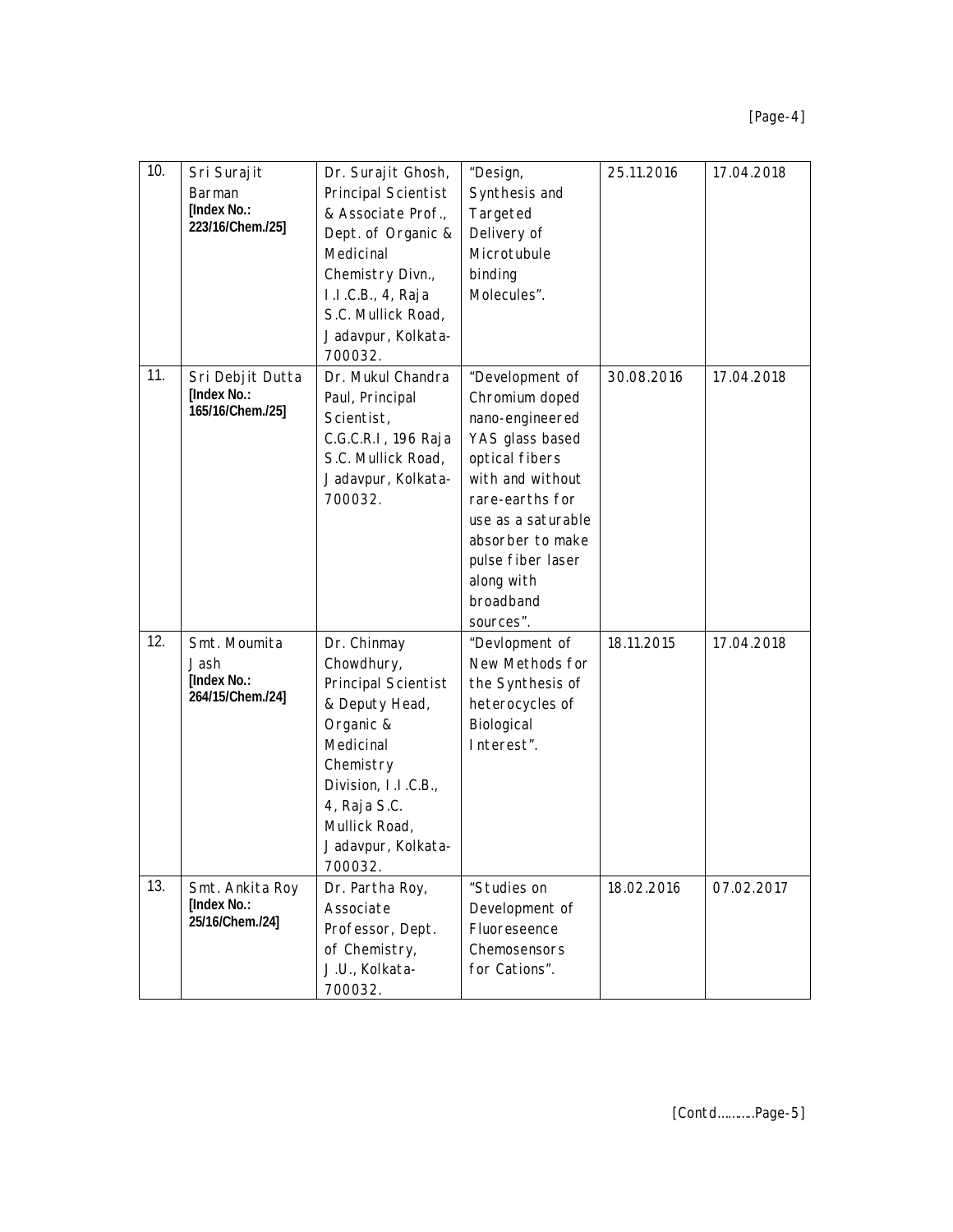| 10. | Sri Surajit<br>Barman<br>[Index No.:<br>223/16/Chem./25] | Dr. Surajit Ghosh,<br>Principal Scientist<br>& Associate Prof.,<br>Dept. of Organic &<br>Medicinal<br>Chemistry Divn.,<br>I.I.C.B., 4, Raja<br>S.C. Mullick Road,<br>Jadavpur, Kolkata-<br>700032. | "Design,<br>Synthesis and<br>Targeted<br>Delivery of<br>Microtubule<br>binding<br>Molecules".                                                                                                                                           | 25.11.2016 | 17.04.2018 |
|-----|----------------------------------------------------------|----------------------------------------------------------------------------------------------------------------------------------------------------------------------------------------------------|-----------------------------------------------------------------------------------------------------------------------------------------------------------------------------------------------------------------------------------------|------------|------------|
| 11. | Sri Debjit Dutta<br>[Index No.:<br>165/16/Chem./25]      | Dr. Mukul Chandra<br>Paul, Principal<br>Scientist,<br>C.G.C.R.I, 196 Raja<br>S.C. Mullick Road,<br>Jadavpur, Kolkata-<br>700032.                                                                   | "Development of<br>Chromium doped<br>nano-engineered<br>YAS glass based<br>optical fibers<br>with and without<br>rare-earths for<br>use as a saturable<br>absorber to make<br>pulse fiber laser<br>along with<br>broadband<br>sources". | 30.08.2016 | 17.04.2018 |
| 12. | Smt. Moumita<br>Jash<br>[Index No.:<br>264/15/Chem./24]  | Dr. Chinmay<br>Chowdhury,<br>Principal Scientist<br>& Deputy Head,<br>Organic &<br>Medicinal<br>Chemistry<br>Division, I.I.C.B.,<br>4, Raja S.C.<br>Mullick Road,<br>Jadavpur, Kolkata-<br>700032. | "Devlopment of<br>New Methods for<br>the Synthesis of<br>heterocycles of<br>Biological<br>Interest".                                                                                                                                    | 18.11.2015 | 17.04.2018 |
| 13. | Smt. Ankita Roy<br>[Index No.:<br>25/16/Chem./24]        | Dr. Partha Roy,<br>Associate<br>Professor, Dept.<br>of Chemistry,<br>J.U., Kolkata-<br>700032.                                                                                                     | "Studies on<br>Development of<br>Fluoreseence<br>Chemosensors<br>for Cations".                                                                                                                                                          | 18.02.2016 | 07.02.2017 |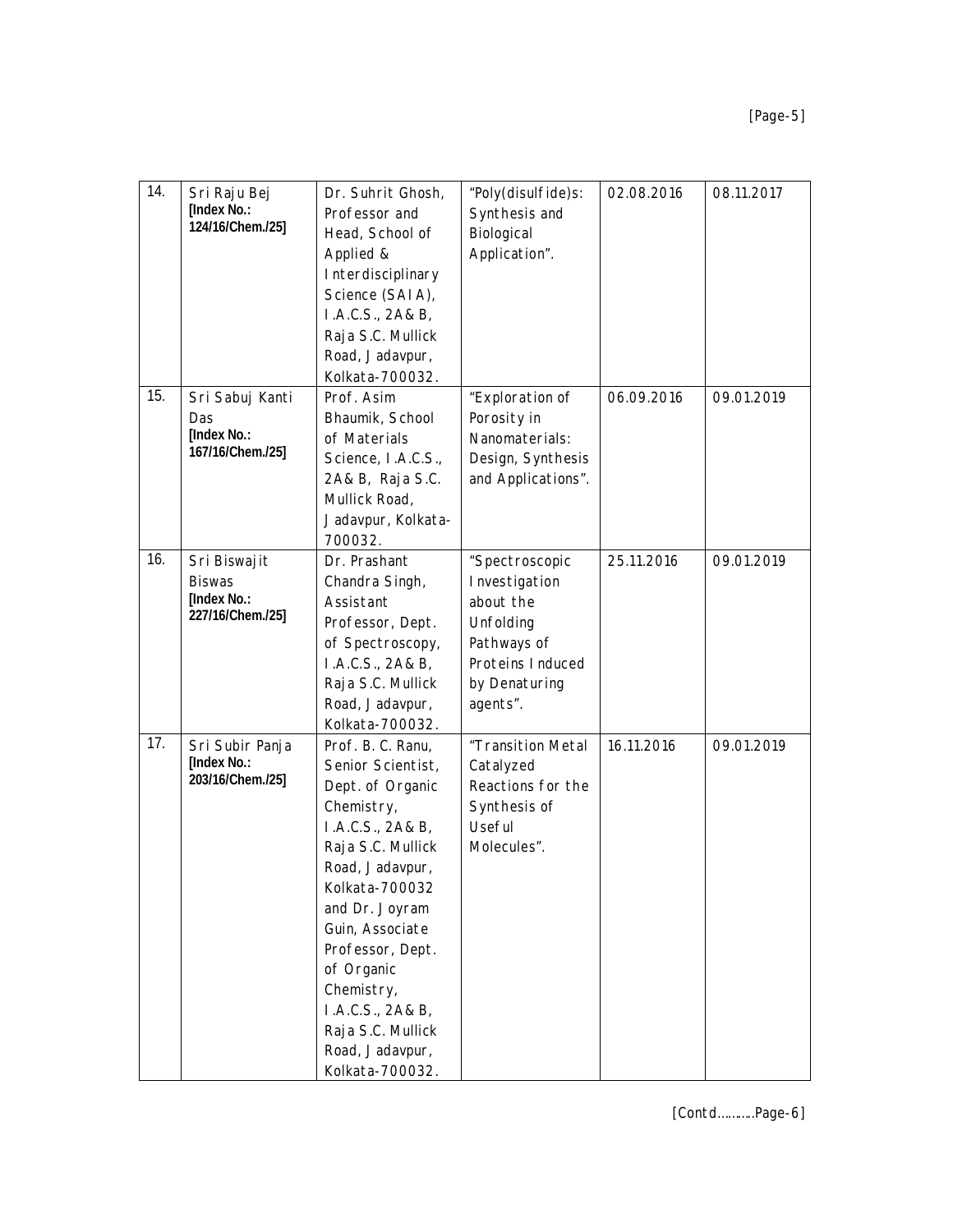| 14. | Sri Raju Bej<br>[Index No.:<br>124/16/Chem./25]                  | Dr. Suhrit Ghosh,<br>Professor and<br>Head, School of<br>Applied &<br>Interdisciplinary<br>Science (SAIA),<br>I.A.C.S., 2A& B,<br>Raja S.C. Mullick<br>Road, Jadavpur,<br>Kolkata-700032.                                                                                                                                  | "Poly(disulfide)s:<br>Synthesis and<br>Biological<br>Application".                                                        | 02.08.2016 | 08.11.2017 |
|-----|------------------------------------------------------------------|----------------------------------------------------------------------------------------------------------------------------------------------------------------------------------------------------------------------------------------------------------------------------------------------------------------------------|---------------------------------------------------------------------------------------------------------------------------|------------|------------|
| 15. | Sri Sabuj Kanti<br>Das<br>[Index No.:<br>167/16/Chem./25]        | Prof. Asim<br>Bhaumik, School<br>of Materials<br>Science, I.A.C.S.,<br>2A& B, Raja S.C.<br>Mullick Road,<br>Jadavpur, Kolkata-<br>700032.                                                                                                                                                                                  | "Exploration of<br>Porosity in<br>Nanomaterials:<br>Design, Synthesis<br>and Applications".                               | 06.09.2016 | 09.01.2019 |
| 16. | Sri Biswajit<br><b>Biswas</b><br>[Index No.:<br>227/16/Chem./25] | Dr. Prashant<br>Chandra Singh,<br>Assistant<br>Professor, Dept.<br>of Spectroscopy,<br>I.A.C.S., 2A& B,<br>Raja S.C. Mullick<br>Road, Jadavpur,<br>Kolkata-700032.                                                                                                                                                         | "Spectroscopic<br>Investigation<br>about the<br>Unfolding<br>Pathways of<br>Proteins Induced<br>by Denaturing<br>agents". | 25.11.2016 | 09.01.2019 |
| 17. | Sri Subir Panja<br>[Index No.:<br>203/16/Chem./25]               | Prof. B. C. Ranu,<br>Senior Scientist,<br>Dept. of Organic<br>Chemistry,<br>I.A.C.S., 2A& B,<br>Raja S.C. Mullick<br>Road, Jadavpur,<br>Kolkata-700032<br>and Dr. Joyram<br>Guin, Associate<br>Professor, Dept.<br>of Organic<br>Chemistry,<br>I.A.C.S., 2A& B,<br>Raja S.C. Mullick<br>Road, Jadavpur,<br>Kolkata-700032. | "Transition Metal<br>Catalyzed<br>Reactions for the<br>Synthesis of<br>Useful<br>Molecules".                              | 16.11.2016 | 09.01.2019 |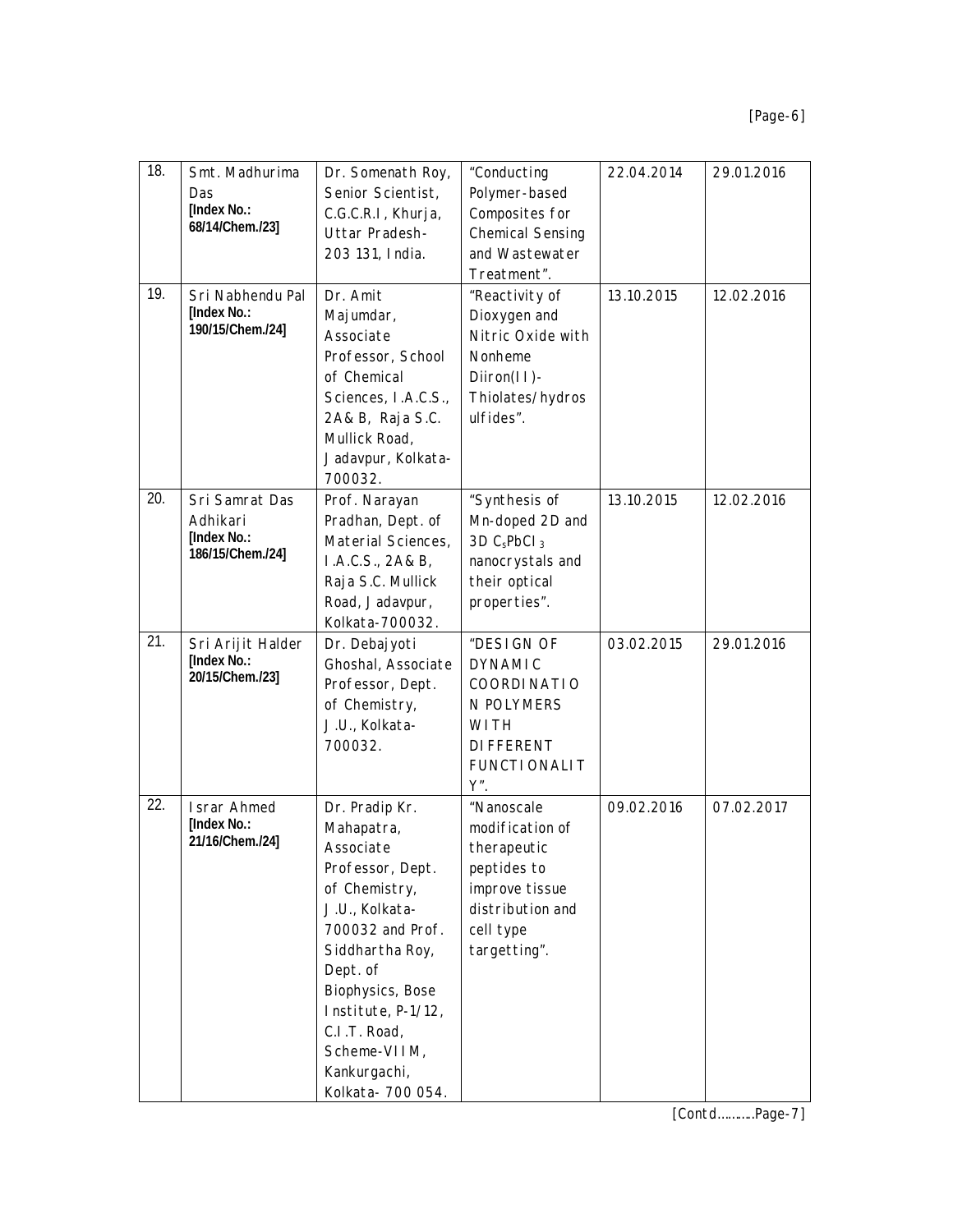| 18. | Smt. Madhurima<br>Das<br>[Index No.:<br>68/14/Chem./23]       | Dr. Somenath Roy,<br>Senior Scientist,<br>C.G.C.R.I, Khurja,<br>Uttar Pradesh-<br>203 131, India.                                                                                                                                                                  | "Conducting<br>Polymer-based<br>Composites for<br><b>Chemical Sensing</b><br>and Wastewater<br>Treatment".                     | 22.04.2014 | 29.01.2016 |
|-----|---------------------------------------------------------------|--------------------------------------------------------------------------------------------------------------------------------------------------------------------------------------------------------------------------------------------------------------------|--------------------------------------------------------------------------------------------------------------------------------|------------|------------|
| 19. | Sri Nabhendu Pal<br><b>[Index No.:</b><br>190/15/Chem./24]    | Dr. Amit<br>Majumdar,<br>Associate<br>Professor, School<br>of Chemical<br>Sciences, I.A.C.S.,<br>2A& B, Raja S.C.<br>Mullick Road,<br>Jadavpur, Kolkata-<br>700032.                                                                                                | "Reactivity of<br>Dioxygen and<br>Nitric Oxide with<br>Nonheme<br>Diiron(II)-<br>Thiolates/hydros<br>ulfides".                 | 13.10.2015 | 12.02.2016 |
| 20. | Sri Samrat Das<br>Adhikari<br>[Index No.:<br>186/15/Chem./24] | Prof. Narayan<br>Pradhan, Dept. of<br>Material Sciences,<br>I.A.C.S., 2A& B,<br>Raja S.C. Mullick<br>Road, Jadavpur,<br>Kolkata-700032.                                                                                                                            | "Synthesis of<br>Mn-doped 2D and<br>3D C <sub>s</sub> PbCl <sub>3</sub><br>nanocrystals and<br>their optical<br>properties".   | 13.10.2015 | 12.02.2016 |
| 21. | Sri Arijit Halder<br>[Index No.:<br>20/15/Chem./23]           | Dr. Debajyoti<br>Ghoshal, Associate<br>Professor, Dept.<br>of Chemistry,<br>J.U., Kolkata-<br>700032.                                                                                                                                                              | "DESIGN OF<br><b>DYNAMIC</b><br>COORDINATIO<br>N POLYMERS<br>WI TH<br><b>DIFFERENT</b><br><b>FUNCTIONALIT</b><br>Υ".           | 03.02.2015 | 29.01.2016 |
| 22. | <b>Israr Ahmed</b><br>[Index No.:<br>21/16/Chem./24]          | Dr. Pradip Kr.<br>Mahapatra,<br>Associate<br>Professor, Dept.<br>of Chemistry,<br>J.U., Kolkata-<br>700032 and Prof.<br>Siddhartha Roy,<br>Dept. of<br>Biophysics, Bose<br>Institute, P-1/12,<br>C.I.T. Road,<br>Scheme-VIIM,<br>Kankurgachi,<br>Kolkata- 700 054. | "Nanoscale<br>modification of<br>therapeutic<br>peptides to<br>improve tissue<br>distribution and<br>cell type<br>targetting". | 09.02.2016 | 07.02.2017 |

*[Contd………..Page-7]*